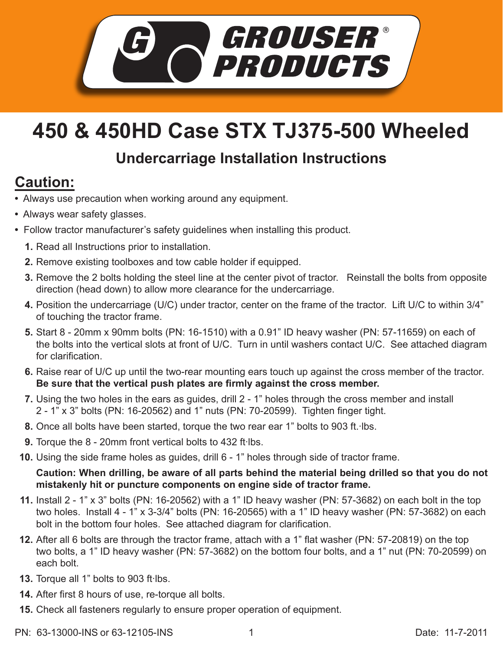

## **450 & 450HD Case STX TJ375-500 Wheeled**

## **Undercarriage Installation Instructions**

## **Caution:**

- Always use precaution when working around any equipment.
- Always wear safety glasses.
- Follow tractor manufacturer's safety guidelines when installing this product.
	- **1.** Read all Instructions prior to installation.
	- **2.** Remove existing toolboxes and tow cable holder if equipped.
	- **3.** Remove the 2 bolts holding the steel line at the center pivot of tractor. Reinstall the bolts from opposite direction (head down) to allow more clearance for the undercarriage.
	- Position the undercarriage (U/C) under tractor, center on the frame of the tractor. Lift U/C to within 3/4" **4.** of touching the tractor frame.
	- Start 8 20mm x 90mm bolts (PN: 16-1510) with a 0.91" ID heavy washer (PN: 57-11659) on each of **5.** the bolts into the vertical slots at front of U/C. Turn in until washers contact U/C. See attached diagram for clarification.
	- 6. Raise rear of U/C up until the two-rear mounting ears touch up against the cross member of the tractor. **Be sure that the vertical push plates are firmly against the cross member.**
	- **7.** Using the two holes in the ears as guides, drill 2 1" holes through the cross member and install 2 - 1" x 3" bolts (PN: 16-20562) and 1" nuts (PN: 70-20599). Tighten finger tight.
	- 8. Once all bolts have been started, torque the two rear ear 1" bolts to 903 ft. Ibs.
	- **9.** Torque the 8 20mm front vertical bolts to 432 ft lbs.
	- **10.** Using the side frame holes as guides, drill 6 1" holes through side of tractor frame.

**Caution: When drilling, be aware of all parts behind the material being drilled so that you do not mistakenly hit or puncture components on engine side of tractor frame.** 

- Install 2 1" x 3" bolts (PN: 16-20562) with a 1" ID heavy washer (PN: 57-3682) on each bolt in the top **11.** two holes. Install 4 - 1" x 3-3/4" bolts (PN: 16-20565) with a 1" ID heavy washer (PN: 57-3682) on each bolt in the bottom four holes. See attached diagram for clarification.
- **12.** After all 6 bolts are through the tractor frame, attach with a 1" flat washer (PN: 57-20819) on the top two bolts, a 1" ID heavy washer (PN: 57-3682) on the bottom four bolts, and a 1" nut (PN: 70-20599) on each bolt.
- 13. Torque all 1" bolts to 903 ft·lbs.
- After first 8 hours of use, re-torque all bolts. **14.**
- **15.** Check all fasteners regularly to ensure proper operation of equipment.
- PN: 63-13000-INS or 63-12105-INS 1 1 Date: 11-7-2011